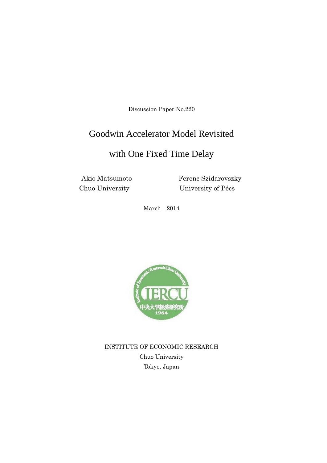Discussion Paper No.220

# Goodwin Accelerator Model Revisited

# with One Fixed Time Delay

Akio Matsumoto Ferenc Szidarovszky Chuo University University of Pécs

March 2014



INSTITUTE OF ECONOMIC RESEARCH Chuo University Tokyo, Japan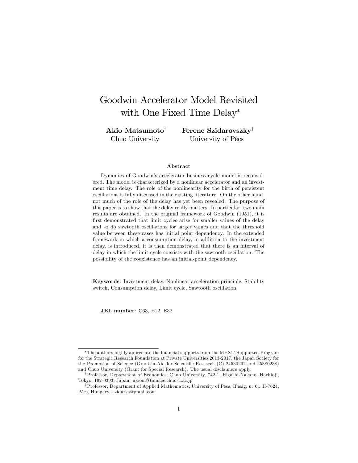# Goodwin Accelerator Model Revisited with One Fixed Time Delay\*

Akio Matsumoto<sup>†</sup> Chuo University

Ferenc Szidarovszky<sup>‡</sup> University of Pécs

#### Abstract

Dynamics of Goodwin's accelerator business cycle model is reconsidered. The model is characterized by a nonlinear accelerator and an investment time delay. The role of the nonlinearity for the birth of persistent oscillations is fully discussed in the existing literature. On the other hand, not much of the role of the delay has yet been revealed. The purpose of this paper is to show that the delay really matters. In particular, two main results are obtained. In the original framework of Goodwin (1951), it is first demonstrated that limit cycles arise for smaller values of the delay and so do sawtooth oscillations for larger values and that the threshold value between these cases has initial point dependency. In the extended framework in which a consumption delay, in addition to the investment delay, is introduced, it is then demonstrated that there is an interval of delay in which the limit cycle coexists with the sawtooth oscillation. The possibility of the coexistence has an initial-point dependency.

Keywords: Investment delay, Nonlinear acceleration principle, Stability switch, Consumption delay, Limit cycle, Sawtooth oscillation

JEL number: C63, E12, E32

The authors highly appreciate the Önancial supports from the MEXT-Supported Program for the Strategic Research Foundation at Private Universities 2013-2017, the Japan Society for the Promotion of Science (Grant-in-Aid for Scientific Research (C) 24530202 and 25380238) and Chuo University (Grant for Special Research). The usual disclaimers apply.

<sup>&</sup>lt;sup>†</sup>Professor, Department of Economics, Chuo University, 742-1, Higashi-Nakano, Hachioji, Tokyo, 192-0393, Japan. akiom@tamacc.chuo-u.ac.jp

<sup>&</sup>lt;sup>‡</sup>Professor, Department of Applied Mathematics, University of Pécs, Ifúság, u. 6,. H-7624, PÈcs, Hungary. szidarka@gmail.com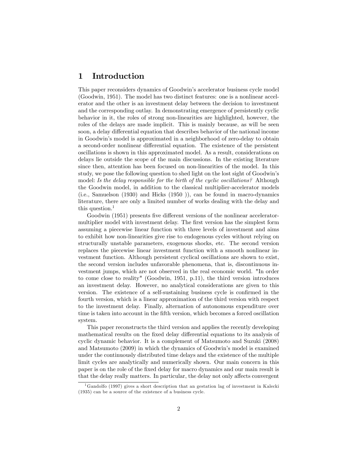## 1 Introduction

This paper reconsiders dynamics of Goodwin's accelerator business cycle model (Goodwin, 1951). The model has two distinct features: one is a nonlinear accelerator and the other is an investment delay between the decision to investment and the corresponding outlay. In demonstrating emergence of persistently cyclic behavior in it, the roles of strong non-linearities are highlighted, however, the roles of the delays are made implicit. This is mainly because, as will be seen soon, a delay differential equation that describes behavior of the national income in Goodwinís model is approximated in a neighborhood of zero-delay to obtain a second-order nonlinear differential equation. The existence of the persistent oscillations is shown in this approximated model. As a result, considerations on delays lie outside the scope of the main discussions. In the existing literature since then, attention has been focused on non-linearities of the model. In this study, we pose the following question to shed light on the lost sight of Goodwin's model: Is the delay responsible for the birth of the cyclic oscillations? Although the Goodwin model, in addition to the classical multiplier-accelerator models (i.e., Samuelson (1930) and Hicks (1950 )), can be found in macro-dynamics literature, there are only a limited number of works dealing with the delay and this question.<sup>1</sup>

Goodwin (1951) presents five different versions of the nonlinear acceleratormultiplier model with investment delay. The first version has the simplest form assuming a piecewise linear function with three levels of investment and aims to exhibit how non-linearities give rise to endogenous cycles without relying on structurally unstable parameters, exogenous shocks, etc. The second version replaces the piecewise linear investment function with a smooth nonlinear investment function. Although persistent cyclical oscillations are shown to exist, the second version includes unfavorable phenomena, that is, discontinuous investment jumps, which are not observed in the real economic world. "In order to come close to reality" (Goodwin, 1951, p.11), the third version introduces an investment delay. However, no analytical considerations are given to this version. The existence of a self-sustaining business cycle is confirmed in the fourth version, which is a linear approximation of the third version with respect to the investment delay. Finally, alternation of autonomous expenditure over time is taken into account in the Öfth version, which becomes a forced oscillation system.

This paper reconstructs the third version and applies the recently developing mathematical results on the fixed delay differential equations to its analysis of cyclic dynamic behavior. It is a complement of Matsumoto and Suzuki (2008) and Matsumoto (2009) in which the dynamics of Goodwin's model is examined under the continuously distributed time delays and the existence of the multiple limit cycles are analytically and numerically shown. Our main concern in this paper is on the role of the Öxed delay for macro dynamics and our main result is that the delay really matters. In particular, the delay not only affects convergent

<sup>&</sup>lt;sup>1</sup>Gandolfo (1997) gives a short description that an gestation lag of investment in Kalecki (1935) can be a source of the existence of a business cycle.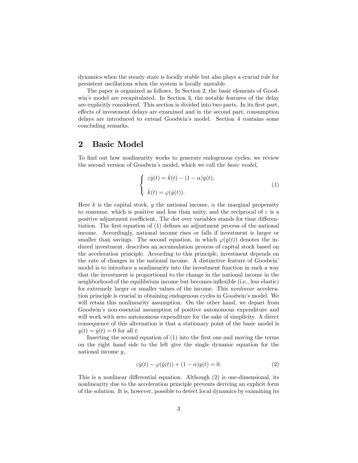dynamics when the steady state is locally stable but also plays a crucial role for persistent oscillations when the system is locally unstable.

The paper is organized as follows. In Section 2, the basic elements of Goodwin's model are recapitulated. In Section 3, the notable features of the delay are explicitly considered. This section is divided into two parts. In its first part, effects of investment delays are examined and in the second part, consumption delays are introduced to extend Goodwin's model. Section 4 contains some concluding remarks.

## 2 Basic Model

To find out how nonlinearity works to generate endogenous cycles, we review the second version of Goodwin's model, which we call the *basic model*,

$$
\begin{cases}\n\varepsilon \dot{y}(t) = \dot{k}(t) - (1 - \alpha)y(t), \\
\dot{k}(t) = \varphi(\dot{y}(t)).\n\end{cases} (1)
$$

Here k is the capital stock, y the national income,  $\alpha$  the marginal propensity to consume, which is positive and less than unity, and the reciprocal of  $\varepsilon$  is a positive adjustment coefficient. The dot over variables stands for time differentiation. The first equation of  $(1)$  defines an adjustment process of the national income. Accordingly, national income rises or falls if investment is larger or smaller than savings. The second equation, in which  $\varphi(\dot{y}(t))$  denotes the induced investment, describes an accumulation process of capital stock based on the acceleration principle. According to this principle, investment depends on the rate of changes in the national income. A distinctive feature of Goodwin<sup>'</sup> model is to introduce a nonlinearity into the investment function in such a way that the investment is proportional to the change in the national income in the neighborhood of the equilibrium income but becomes ináexible (i.e., less elastic) for extremely larger or smaller values of the income. This nonlinear acceleration principle is crucial in obtaining endogenous cycles in Goodwin's model. We will retain this nonlinearity assumption. On the other hand, we depart from Goodwin's non-essential assumption of positive autonomous expenditure and will work with zero autonomous expenditure for the sake of simplicity. A direct consequence of this alternation is that a stationary point of the basic model is  $y(t) = \dot{y}(t) = 0$  for all t.

Inserting the second equation of  $(1)$  into the first one and moving the terms on the right hand side to the left give the single dynamic equation for the national income  $y$ ,

$$
\varepsilon \dot{y}(t) - \varphi(\dot{y}(t)) + (1 - \alpha)y(t) = 0.
$$
\n(2)

This is a nonlinear differential equation. Although  $(2)$  is one-dimensional, its nonlinearity due to the acceleration principle prevents deriving an explicit form of the solution. It is, however, possible to detect local dynamics by examining its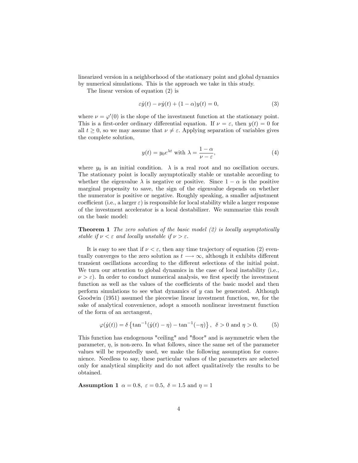linearized version in a neighborhood of the stationary point and global dynamics by numerical simulations. This is the approach we take in this study.

The linear version of equation (2) is

$$
\varepsilon \dot{y}(t) - \nu \dot{y}(t) + (1 - \alpha)y(t) = 0,\tag{3}
$$

where  $\nu = \varphi'(0)$  is the slope of the investment function at the stationary point. This is a first-order ordinary differential equation. If  $\nu = \varepsilon$ , then  $y(t) = 0$  for all  $t \geq 0$ , so we may assume that  $\nu \neq \varepsilon$ . Applying separation of variables gives the complete solution,

$$
y(t) = y_0 e^{\lambda t} \text{ with } \lambda = \frac{1 - \alpha}{\nu - \varepsilon},\tag{4}
$$

where  $y_0$  is an initial condition.  $\lambda$  is a real root and no oscillation occurs. The stationary point is locally asymptotically stable or unstable according to whether the eigenvalue  $\lambda$  is negative or positive. Since  $1 - \alpha$  is the positive marginal propensity to save, the sign of the eigenvalue depends on whether the numerator is positive or negative. Roughly speaking, a smaller adjustment coefficient (i.e., a larger  $\varepsilon$ ) is responsible for local stability while a larger response of the investment accelerator is a local destabilizer. We summarize this result on the basic model:

**Theorem 1** The zero solution of the basic model  $(2)$  is locally asymptotically stable if  $\nu < \varepsilon$  and locally unstable if  $\nu > \varepsilon$ .

It is easy to see that if  $\nu < \varepsilon$ , then any time trajectory of equation (2) eventually converges to the zero solution as  $t \rightarrow \infty$ , although it exhibits different transient oscillations according to the different selections of the initial point. We turn our attention to global dynamics in the case of local instability (i.e.,  $\nu > \varepsilon$ ). In order to conduct numerical analysis, we first specify the investment function as well as the values of the coefficients of the basic model and then perform simulations to see what dynamics of y can be generated. Although Goodwin (1951) assumed the piecewise linear investment function, we, for the sake of analytical convenience, adopt a smooth nonlinear investment function of the form of an arctangent,

$$
\varphi(\dot{y}(t)) = \delta \left\{ \tan^{-1}(\dot{y}(t) - \eta) - \tan^{-1}(-\eta) \right\}, \ \ \delta > 0 \ \text{and} \ \eta > 0. \tag{5}
$$

This function has endogenous "ceiling" and "floor" and is asymmetric when the parameter,  $\eta$ , is non-zero. In what follows, since the same set of the parameter values will be repeatedly used, we make the following assumption for convenience. Needless to say, these particular values of the parameters are selected only for analytical simplicity and do not affect qualitatively the results to be obtained.

**Assumption 1**  $\alpha = 0.8$ ,  $\varepsilon = 0.5$ ,  $\delta = 1.5$  and  $\eta = 1$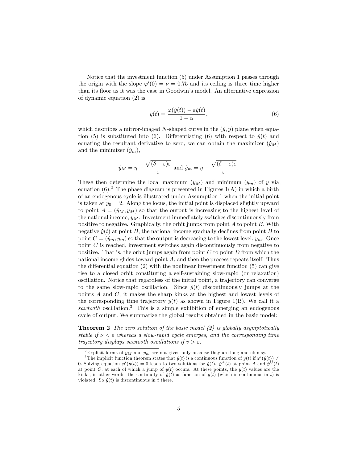Notice that the investment function (5) under Assumption 1 passes through the origin with the slope  $\varphi'(0) = \nu = 0.75$  and its ceiling is three time higher than its floor as it was the case in Goodwin's model. An alternative expression of dynamic equation (2) is

$$
y(t) = \frac{\varphi(\dot{y}(t)) - \varepsilon \dot{y}(t)}{1 - \alpha},
$$
\n(6)

which describes a mirror-imaged N-shaped curve in the  $(\dot{y}, y)$  plane when equation (5) is substituted into (6). Differentiating (6) with respect to  $\dot{y}(t)$  and equating the resultant derivative to zero, we can obtain the maximizer  $(\dot{y}_M)$ and the minimizer  $(\dot{y}_m)$ ,

$$
\dot{y}_M = \eta + \frac{\sqrt{(\delta - \varepsilon)\varepsilon}}{\varepsilon}
$$
 and  $\dot{y}_m = \eta - \frac{\sqrt{(\delta - \varepsilon)\varepsilon}}{\varepsilon}$ .

These then determine the local maximum  $(y_M)$  and minimum  $(y_m)$  of y via equation  $(6)$ .<sup>2</sup> The phase diagram is presented in Figures  $1(A)$  in which a birth of an endogenous cycle is illustrated under Assumption 1 when the initial point is taken at  $y_0 = 2$ . Along the locus, the initial point is displaced slightly upward to point  $A = (\dot{y}_M, y_M)$  so that the output is increasing to the highest level of the national income,  $y_M$ . Investment immediately switches discontinuously from positive to negative. Graphically, the orbit jumps from point  $A$  to point  $B$ . With negative  $\dot{y}(t)$  at point B, the national income gradually declines from point B to point  $C = (\dot{y}_m, y_m)$  so that the output is decreasing to the lowest level,  $y_m$ . Once point C is reached, investment switches again discontinuously from negative to positive. That is, the orbit jumps again from point  $C$  to point  $D$  from which the national income glides toward point  $A$ , and then the process repeats itself. Thus the differential equation  $(2)$  with the nonlinear investment function  $(5)$  can give rise to a closed orbit constituting a self-sustaining slow-rapid (or relaxation) oscillation. Notice that regardless of the initial point, a trajectory can converge to the same slow-rapid oscillation. Since  $\dot{y}(t)$  discontinuously jumps at the points A and C, it makes the sharp kinks at the highest and lowest levels of the corresponding time trajectory  $y(t)$  as shown in Figure 1(B). We call it a sawtooth oscillation.<sup>3</sup> This is a simple exhibition of emerging an endogenous cycle of output. We summarize the global results obtained in the basic model:

**Theorem 2** The zero solution of the basic model  $(2)$  is globally asymptotically stable if  $\nu < \varepsilon$  whereas a slow-rapid cycle emerges, and the corresponding time trajectory displays sawtooth oscillations if  $v > \varepsilon$ .

<sup>&</sup>lt;sup>2</sup>Explicit forms of  $y_M$  and  $y_m$  are not given only because they are long and clumsy.

<sup>&</sup>lt;sup>3</sup>The implicit function theorem states that  $\dot{y}(t)$  is a continuous function of  $y(t)$  if  $\varphi'(y(t)) \neq$ 0. Solving equation  $\varphi'(y(t)) = 0$  leads to two solutions for  $\dot{y}(t)$ ,  $\dot{y}^A(t)$  at point A and  $\dot{y}^C(t)$ at point C, at each of which a jump of  $\dot{y}(t)$  occurs. At these points, the  $y(t)$  values are the kinks, in other words, the continuity of  $\dot{y}(t)$  as function of  $y(t)$  (which is continuous in t) is violated. So  $\dot{y}(t)$  is discontinuous in t there.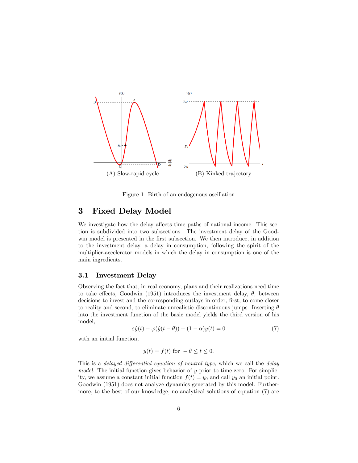

Figure 1. Birth of an endogenous oscillation

## 3 Fixed Delay Model

We investigate how the delay affects time paths of national income. This section is subdivided into two subsections. The investment delay of the Goodwin model is presented in the first subsection. We then introduce, in addition to the investment delay, a delay in consumption, following the spirit of the multiplier-accelerator models in which the delay in consumption is one of the main ingredients.

### 3.1 Investment Delay

Observing the fact that, in real economy, plans and their realizations need time to take effects, Goodwin (1951) introduces the investment delay,  $\theta$ , between decisions to invest and the corresponding outlays in order, first, to come closer to reality and second, to eliminate unrealistic discontinuous jumps. Inserting  $\theta$ into the investment function of the basic model yields the third version of his model,

$$
\varepsilon \dot{y}(t) - \varphi(\dot{y}(t-\theta)) + (1-\alpha)y(t) = 0 \tag{7}
$$

with an initial function,

$$
y(t) = f(t) \text{ for } -\theta \le t \le 0.
$$

This is a delayed differential equation of neutral type, which we call the delay model. The initial function gives behavior of  $y$  prior to time zero. For simplicity, we assume a constant initial function  $f(t) = y_0$  and call  $y_0$  an initial point. Goodwin (1951) does not analyze dynamics generated by this model. Furthermore, to the best of our knowledge, no analytical solutions of equation (7) are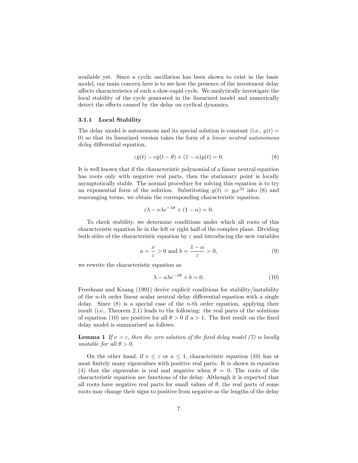available yet. Since a cyclic oscillation has been shown to exist in the basic model, our main concern here is to see how the presence of the investment delay a§ects characteristics of such a slow-rapid cycle. We analytically investigate the local stability of the cycle generated in the linearized model and numerically detect the effects caused by the delay on cyclical dynamics.

#### 3.1.1 Local Stability

The delay model is autonomous and its special solution is constant (i.e.,  $y(t) =$ 0) so that its linearized version takes the form of a linear neutral autonomous  $delay$  differential equation,

$$
\varepsilon \dot{y}(t) - v\dot{y}(t - \theta) + (1 - \alpha)y(t) = 0.
$$
\n(8)

It is well known that if the characteristic polynomial of a linear neutral equation has roots only with negative real parts, then the stationary point is locally asymptotically stable. The normal procedure for solving this equation is to try an exponential form of the solution. Substituting  $y(t) = y_0 e^{\lambda t}$  into (8) and rearranging terms, we obtain the corresponding characteristic equation:

$$
\varepsilon \lambda - \nu \lambda e^{-\lambda \theta} + (1 - \alpha) = 0.
$$

To check stability, we determine conditions under which all roots of this characteristic equation lie in the left or right half of the complex plane. Dividing both sides of the characteristic equation by  $\varepsilon$  and introducing the new variables

$$
a = \frac{\nu}{\varepsilon} > 0 \text{ and } b = \frac{1 - \alpha}{\varepsilon} > 0,
$$
\n(9)

we rewrite the characteristic equation as

$$
\lambda - a\lambda e^{-\lambda \theta} + b = 0. \tag{10}
$$

Freedman and Kuang (1991) derive explicit conditions for stability/instability of the *n*-th order linear scalar neutral delay differential equation with a single delay. Since  $(8)$  is a special case of the *n*-th order equation, applying their result (i.e., Theorem 2.1) leads to the following: the real parts of the solutions of equation (10) are positive for all  $\theta > 0$  if  $a > 1$ . The first result on the fixed delay model is summarized as follows:

**Lemma 1** If  $\nu > \varepsilon$ , then the zero solution of the fixed delay model (7) is locally unstable for all  $\theta > 0$ .

On the other hand, if  $v \leq \varepsilon$  or  $a \leq 1$ , characteristic equation (10) has at most finitely many eigenvalues with positive real parts. It is shown in equation (4) that the eigenvalue is real and negative when  $\theta = 0$ . The roots of the characteristic equation are functions of the delay. Although it is expected that all roots have negative real parts for small values of  $\theta$ , the real parts of some roots may change their signs to positive from negative as the lengths of the delay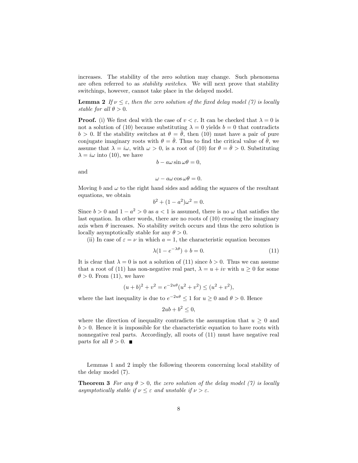increases. The stability of the zero solution may change. Such phenomena are often referred to as stability switches. We will next prove that stability switchings, however, cannot take place in the delayed model.

**Lemma 2** If  $\nu \leq \varepsilon$ , then the zero solution of the fixed delay model (7) is locally stable for all  $\theta > 0$ .

**Proof.** (i) We first deal with the case of  $v < \varepsilon$ . It can be checked that  $\lambda = 0$  is not a solution of (10) because substituting  $\lambda = 0$  yields  $b = 0$  that contradicts  $b > 0$ . If the stability switches at  $\theta = \bar{\theta}$ , then (10) must have a pair of pure conjugate imaginary roots with  $\theta = \bar{\theta}$ . Thus to find the critical value of  $\bar{\theta}$ , we assume that  $\lambda = i\omega$ , with  $\omega > 0$ , is a root of (10) for  $\theta = \bar{\theta} > 0$ . Substituting  $\lambda = i\omega$  into (10), we have

$$
b - a\omega \sin \omega \theta = 0,
$$

and

$$
\omega - a\omega \cos \omega \theta = 0.
$$

Moving b and  $\omega$  to the right hand sides and adding the squares of the resultant equations, we obtain

$$
b^2 + (1 - a^2)\omega^2 = 0.
$$

Since  $b > 0$  and  $1 - a^2 > 0$  as  $a < 1$  is assumed, there is no  $\omega$  that satisfies the last equation. In other words, there are no roots of (10) crossing the imaginary axis when  $\theta$  increases. No stability switch occurs and thus the zero solution is locally asymptotically stable for any  $\theta > 0$ .

(ii) In case of  $\varepsilon = \nu$  in which  $a = 1$ , the characteristic equation becomes

$$
\lambda(1 - e^{-\lambda \theta}) + b = 0. \tag{11}
$$

It is clear that  $\lambda = 0$  is not a solution of (11) since  $b > 0$ . Thus we can assume that a root of (11) has non-negative real part,  $\lambda = u + iv$  with  $u \ge 0$  for some  $\theta > 0$ . From (11), we have

$$
(u+b)^2 + v^2 = e^{-2u\theta}(u^2 + v^2) \le (u^2 + v^2),
$$

where the last inequality is due to  $e^{-2u\theta} \leq 1$  for  $u \geq 0$  and  $\theta > 0$ . Hence

$$
2ub + b^2 \le 0,
$$

where the direction of inequality contradicts the assumption that  $u \geq 0$  and  $b > 0$ . Hence it is impossible for the characteristic equation to have roots with nonnegative real parts. Accordingly, all roots of (11) must have negative real parts for all  $\theta > 0$ .

Lemmas 1 and 2 imply the following theorem concerning local stability of the delay model (7).

**Theorem 3** For any  $\theta > 0$ , the zero solution of the delay model (7) is locally asymptotically stable if  $\nu \leq \varepsilon$  and unstable if  $\nu > \varepsilon$ .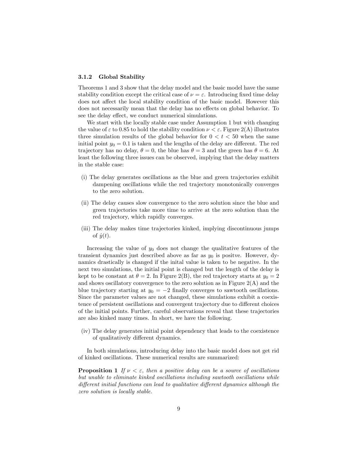### 3.1.2 Global Stability

Theorems 1 and 3 show that the delay model and the basic model have the same stability condition except the critical case of  $\nu = \varepsilon$ . Introducing fixed time delay does not affect the local stability condition of the basic model. However this does not necessarily mean that the delay has no effects on global behavior. To see the delay effect, we conduct numerical simulations.

We start with the locally stable case under Assumption 1 but with changing the value of  $\varepsilon$  to 0.85 to hold the stability condition  $\nu < \varepsilon$ . Figure 2(A) illustrates three simulation results of the global behavior for  $0 < t < 50$  when the same initial point  $y_0 = 0.1$  is taken and the lengths of the delay are different. The red trajectory has no delay,  $\theta = 0$ , the blue has  $\theta = 3$  and the green has  $\theta = 6$ . At least the following three issues can be observed, implying that the delay matters in the stable case:

- (i) The delay generates oscillations as the blue and green trajectories exhibit dampening oscillations while the red trajectory monotonically converges to the zero solution.
- (ii) The delay causes slow convergence to the zero solution since the blue and green trajectories take more time to arrive at the zero solution than the red trajectory, which rapidly converges.
- (iii) The delay makes time trajectories kinked, implying discontinuous jumps of  $\dot{y}(t)$ .

Increasing the value of  $y_0$  does not change the qualitative features of the transient dynamics just described above as far as  $y_0$  is positve. However, dynamics drastically is changed if the inital value is taken to be negative. In the next two simulations, the initial point is changed but the length of the delay is kept to be constant at  $\theta = 2$ . In Figure 2(B), the red trajectory starts at  $y_0 = 2$ and shows oscillatory convergence to the zero solution as in Figure  $2(A)$  and the blue trajectory starting at  $y_0 = -2$  finally converges to sawtooth oscillations. Since the parameter values are not changed, these simulations exhibit a coexistence of persistent oscillations and convergent trajectory due to different choices of the initial points. Further, careful observations reveal that these trajectories are also kinked many times. In short, we have the following.

(iv) The delay generates initial point dependency that leads to the coexistence of qualitatively different dynamics.

In both simulations, introducing delay into the basic model does not get rid of kinked oscillations. These numerical results are summarized:

**Proposition 1** If  $\nu < \varepsilon$ , then a positive delay can be a source of oscillations but unable to eliminate kinked oscillations including sawtooth oscillations while  $differential functions can lead to qualitative different dynamics although the$ zero solution is locally stable.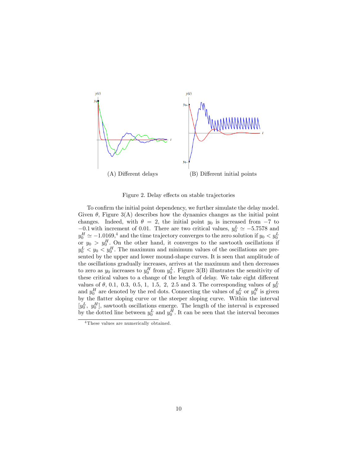

Figure 2. Delay effects on stable trajectories

To confirm the initial point dependency, we further simulate the delay model. Given  $\theta$ , Figure 3(A) describes how the dynamics changes as the initial point changes. Indeed, with  $\theta = 2$ , the initial point  $y_0$  is increased from  $-7$  to  $-0.1$  with increment of 0.01. There are two critical values,  $y_0^L \approx -5.7578$  and  $y_0^H \simeq -1.0169,^4$  and the time trajectory converges to the zero solution if  $y_0 < y_0^L$  or  $y_0 > y_0^H$ . On the other hand, it converges to the sawtooth oscillations if  $y_0^L < y_0 < y_0^H$ . The maximum and minimum values of the oscillations are presented by the upper and lower mound-shape curves. It is seen that amplitude of the oscillations gradually increases, arrives at the maximum and then decreases to zero as  $y_0$  increases to  $y_0^H$  from  $y_0^L$ . Figure 3(B) illustrates the sensitivity of these critical values to a change of the length of delay. We take eight different values of  $\theta$ , 0.1, 0.3, 0.5, 1, 1.5, 2, 2.5 and 3. The corresponding values of  $y_0^L$ and  $y_0^H$  are denoted by the red dots. Connecting the values of  $y_0^L$  or  $y_0^H$  is given by the áatter sloping curve or the steeper sloping curve. Within the interval  $[y_0^L, y_0^H]$ , sawtooth oscillations emerge. The length of the interval is expressed by the dotted line between  $y_0^L$  and  $y_0^H$ . It can be seen that the interval becomes

<sup>4</sup> These values are numerically obtained.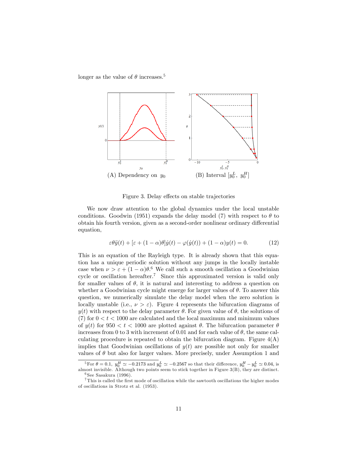longer as the value of  $\theta$  increases.<sup>5</sup>



Figure 3. Delay effects on stable trajectories

We now draw attention to the global dynamics under the local unstable conditions. Goodwin (1951) expands the delay model (7) with respect to  $\theta$  to obtain his fourth version, given as a second-order nonlinear ordinary differential equation,

$$
\varepsilon \theta \ddot{y}(t) + \left[\varepsilon + (1 - \alpha)\theta\right] \dot{y}(t) - \varphi(\dot{y}(t)) + (1 - \alpha)y(t) = 0. \tag{12}
$$

This is an equation of the Rayleigh type. It is already shown that this equation has a unique periodic solution without any jumps in the locally instable case when  $\nu > \varepsilon + (1 - \alpha)\theta$ .<sup>6</sup> We call such a smooth oscillation a Goodwinian cycle or oscillation hereafter.<sup>7</sup> Since this approximated version is valid only for smaller values of  $\theta$ , it is natural and interesting to address a question on whether a Goodwinian cycle might emerge for larger values of  $\theta$ . To answer this question, we numerically simulate the delay model when the zero solution is locally unstable (i.e.,  $\nu > \varepsilon$ ). Figure 4 represents the bifurcation diagrams of  $y(t)$  with respect to the delay parameter  $\theta$ . For given value of  $\theta$ , the solutions of (7) for  $0 < t < 1000$  are calculated and the local maximum and minimum values of  $y(t)$  for  $950 < t < 1000$  are plotted against  $\theta$ . The bifurcation parameter  $\theta$ increases from 0 to 3 with increment of 0.01 and for each value of  $\theta$ , the same calculating procedure is repeated to obtain the bifurcation diagram. Figure  $4(A)$ implies that Goodwinian oscillations of  $y(t)$  are possible not only for smaller values of  $\theta$  but also for larger values. More precisely, under Assumption 1 and

<sup>&</sup>lt;sup>5</sup>For  $\theta = 0.1$ ,  $y_0^H \approx -0.2173$  and  $y_0^L \approx -0.2567$  so that their difference,  $y_0^H - y_0^L \approx 0.04$ , is almost invisible. Although two points seem to stick together in Figure 3(B), they are distinct.  $6$  See Sasakura (1996).

 $7$  This is called the first mode of oscillation while the sawtooth oscillations the higher modes of oscillations in Strotz et al. (1953).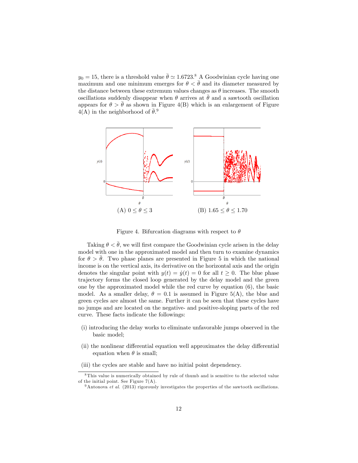$y_0 = 15$ , there is a threshold value  $\bar{\theta} \simeq 1.6723$ .<sup>8</sup> A Goodwinian cycle having one maximum and one minimum emerges for  $\theta < \bar{\theta}$  and its diameter measured by the distance between these extremum values changes as  $\theta$  increases. The smooth oscillations suddenly disappear when  $\theta$  arrives at  $\bar{\theta}$  and a sawtooth oscillation appears for  $\theta > \bar{\theta}$  as shown in Figure 4(B) which is an enlargement of Figure  $4(A)$  in the neighborhood of  $\bar{\theta}$ <sup>9</sup>.



Figure 4. Bifurcation diagrams with respect to  $\theta$ 

Taking  $\theta < \bar{\theta}$ , we will first compare the Goodwinian cycle arisen in the delay model with one in the approximated model and then turn to examine dynamics for  $\theta > \theta$ . Two phase planes are presented in Figure 5 in which the national income is on the vertical axis, its derivative on the horizontal axis and the origin denotes the singular point with  $y(t) = \dot{y}(t) = 0$  for all  $t \geq 0$ . The blue phase trajectory forms the closed loop generated by the delay model and the green one by the approximated model while the red curve by equation (6), the basic model. As a smaller delay,  $\theta = 0.1$  is assumed in Figure 5(A), the blue and green cycles are almost the same. Further it can be seen that these cycles have no jumps and are located on the negative- and positive-sloping parts of the red curve. These facts indicate the followings:

- (i) introducing the delay works to eliminate unfavorable jumps observed in the basic model;
- (ii) the nonlinear differential equation well approximates the delay differential equation when  $\theta$  is small;
- (iii) the cycles are stable and have no initial point dependency.

 $8$ This value is numerically obtained by rule of thumb and is sensitive to the selected value of the initial point. See Figure 7(A).

 $9$ Antonova *et al.* (2013) rigorously investigates the properties of the sawtooth oscillations.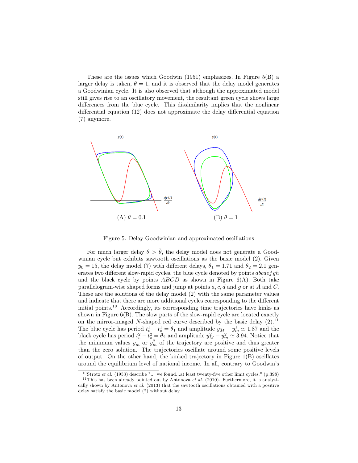These are the issues which Goodwin  $(1951)$  emphasizes. In Figure  $5(B)$  a larger delay is taken,  $\theta = 1$ , and it is observed that the delay model generates a Goodwinian cycle. It is also observed that although the approximated model still gives rise to an oscillatory movement, the resultant green cycle shows large differences from the blue cycle. This dissimilarity implies that the nonlinear differential equation  $(12)$  does not approximate the delay differential equation (7) anymore.



Figure 5. Delay Goodwinian and approximated oscillations

For much larger delay  $\theta > \bar{\theta}$ , the delay model does not generate a Goodwinian cycle but exhibits sawtooth oscillations as the basic model (2). Given  $y_0 = 15$ , the delay model (7) with different delays,  $\theta_1 = 1.71$  and  $\theta_2 = 2.1$  generates two different slow-rapid cycles, the blue cycle denoted by points  $abcdefgh$ and the black cycle by points  $ABCD$  as shown in Figure  $6(A)$ . Both take parallelogram-wise shaped forms and jump at points  $a, c, d$  and  $g$  or at A and C. These are the solutions of the delay model (2) with the same parameter values and indicate that there are more additional cycles corresponding to the different initial points.<sup>10</sup> Accordingly, its corresponding time trajectories have kinks as shown in Figure 6(B). The slow parts of the slow-rapid cycle are located exactly on the mirror-imaged N-shaped red curve described by the basic delay  $(2)$ .<sup>11</sup> The blue cycle has period  $t_e^1 - t_s^1 = \theta_1$  and amplitude  $y_M^1 - y_m^1 \simeq 1.87$  and the black cycle has period  $t_e^2 - t_s^2 = \theta_2$  and amplitude  $y_M^2 - y_m^2 \simeq 3.94$ . Notice that the minimum values  $y_m^1$  or  $y_m^2$  of the trajectory are positive and thus greater than the zero solution. The trajectories oscillate around some positive levels of output. On the other hand, the kinked trajectory in Figure 1(B) oscillates around the equilibrium level of national income. In all, contrary to Goodwin's

<sup>&</sup>lt;sup>10</sup> Strotz *et al.* (1953) describe "... we found...at least twenty-five other limit cycles." (p.398)

<sup>&</sup>lt;sup>11</sup> This has been already pointed out by Antonova et al. (2010). Furthermore, it is analytically shown by Antonova et al. (2013) that the sawtooth oscillations obtained with a positive delay satisfy the basic model (2) without delay.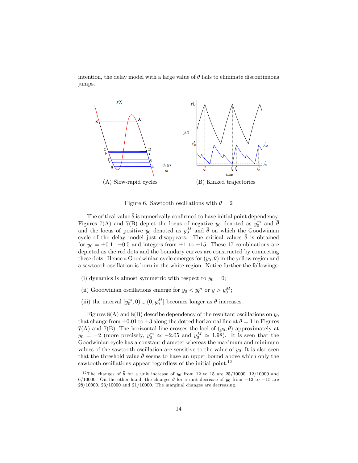intention, the delay model with a large value of  $\theta$  fails to eliminate discontinuous jumps.



Figure 6. Sawtooth oscillations with  $\theta = 2$ 

The critical value  $\bar{\theta}$  is numerically confirmed to have initial point dependency. Figures 7(A) and 7(B) depict the locus of negative  $y_0$  denoted as  $y_0^m$  and  $\bar{\theta}$ and the locus of positive  $y_0$  denoted as  $y_0^M$  and  $\bar{\theta}$  on which the Goodwinian cycle of the delay model just disappears. The critical values  $\bar{\theta}$  is obtained for  $y_0 = \pm 0.1$ ,  $\pm 0.5$  and integers from  $\pm 1$  to  $\pm 15$ . These 17 combinations are depicted as the red dots and the boundary curves are constructed by connecting these dots. Hence a Goodwinian cycle emerges for  $(y_0, \theta)$  in the yellow region and a sawtooth oscillation is born in the white region. Notice further the followings:

- (i) dynamics is almost symmetric with respect to  $y_0 = 0$ ;
- (ii) Goodwinian oscillations emerge for  $y_0 < y_0^m$  or  $y > y_0^M$ ;
- (iii) the interval  $[y_0^m, 0) \cup (0, y_0^M]$  becomes longer as  $\theta$  increases.

Figures  $8(A)$  and  $8(B)$  describe dependency of the resultant oscillations on  $y_0$ that change from  $\pm 0.01$  to  $\pm 3$  along the dotted horizontal line at  $\theta = 1$  in Figures  $7(A)$  and  $7(B)$ . The horizontal line crosses the loci of  $(y_0, \theta)$  approximately at  $y_0 = \pm 2$  (more precisely,  $y_0^m \simeq -2.05$  and  $y_0^M \simeq 1.98$ ). It is seen that the Goodwinian cycle has a constant diameter whereas the maximum and minimum values of the sawtooth oscillation are sensitive to the value of  $y_0$ . It is also seen that the threshold value  $\bar{\theta}$  seems to have an upper bound above which only the sawtooth oscillations appear regardless of the initial point. $12$ 

<sup>&</sup>lt;sup>12</sup> The changes of  $\bar{\theta}$  for a unit increase of  $y_0$  from 12 to 15 are 25/10000, 12/10000 and 6/10000. On the other hand, the changes  $\bar{\theta}$  for a unit decrease of y<sub>0</sub> from -12 to -15 are  $28/10000$ ,  $23/10000$  and  $21/10000$ . The marginal changes are decreasing.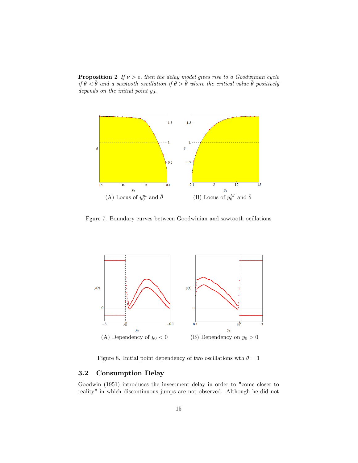**Proposition 2** If  $\nu > \varepsilon$ , then the delay model gives rise to a Goodwinian cycle if  $\theta < \bar{\theta}$  and a sawtooth oscillation if  $\theta > \bar{\theta}$  where the critical value  $\bar{\theta}$  positively depends on the initial point  $y_0$ .



Fgure 7. Boundary curves between Goodwinian and sawtooth ocillations



Figure 8. Initial point dependency of two oscillations wth  $\theta = 1$ 

## 3.2 Consumption Delay

Goodwin (1951) introduces the investment delay in order to "come closer to reality" in which discontinuous jumps are not observed. Although he did not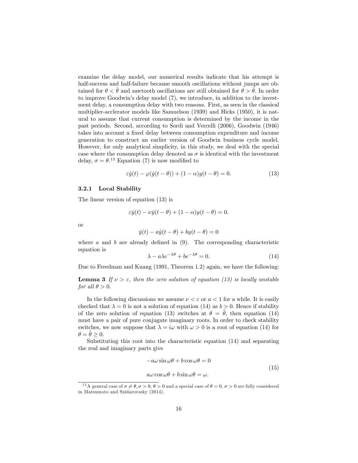examine the delay model, our numerical results indicate that his attempt is half-success and half-failure because smooth oscillations without jumps are obtained for  $\theta < \bar{\theta}$  and sawtooth oscillations are still obtained for  $\theta > \bar{\theta}$ . In order to improve Goodwin's delay model (7), we introduce, in addition to the investment delay, a consumption delay with two reasons. First, as seen in the classical multiplier-acclerator models like Samuelson (1939) and Hicks (1950), it is natural to assume that current consumption is determined by the income in the past periods. Second, according to Sordi and Vercelli (2006), Goodwin (1946) takes into account a fixed delay between consumption expenditure and income generation to construct an earlier version of Goodwin business cycle model. However, for only analytical simplicity, in this study, we deal with the special case where the consumption delay denoted as  $\sigma$  is identical with the investment delay,  $\sigma = \theta$ .<sup>13</sup> Equation (7) is now modified to

$$
\varepsilon \dot{y}(t) - \varphi(\dot{y}(t-\theta)) + (1-\alpha)y(t-\theta) = 0.
$$
 (13)

#### 3.2.1 Local Stability

The linear version of equation (13) is

$$
\varepsilon \dot{y}(t) - \nu \dot{y}(t - \theta) + (1 - \alpha)y(t - \theta) = 0.
$$

or

$$
\dot{y}(t) - a\dot{y}(t - \theta) + by(t - \theta) = 0
$$

where a and b are already defined in  $(9)$ . The corresponding characteristic equation is

$$
\lambda - a\lambda e^{-\lambda \theta} + b e^{-\lambda \theta} = 0. \tag{14}
$$

Due to Freedman and Kuang (1991, Theorem 1.2) again, we have the following:

**Lemma 3** If  $\nu > \varepsilon$ , then the zero solution of equation (13) is locally unstable for all  $\theta > 0$ .

In the following discussions we assume  $\nu < \varepsilon$  or  $a < 1$  for a while. It is easily checked that  $\lambda = 0$  is not a solution of equation (14) as  $b > 0$ . Hence if stability of the zero solution of equation (13) switches at  $\theta = \theta$ , then equation (14) must have a pair of pure conjugate imaginary roots. In order to check stability switches, we now suppose that  $\lambda = i\omega$  with  $\omega > 0$  is a root of equation (14) for  $\theta = \tilde{\theta} > 0.$ 

Substituting this root into the characteristic equation (14) and separating the real and imaginary parts give

$$
-a\omega\sin\omega\theta + b\cos\omega\theta = 0
$$
  
\n
$$
a\omega\cos\omega\theta + b\sin\omega\theta = \omega.
$$
\n(15)

<sup>&</sup>lt;sup>13</sup>A general case of  $\sigma \neq \theta, \sigma > 0, \theta > 0$  and a special case of  $\theta = 0, \sigma > 0$  are fully considered in Matsumoto and Szidarovszky (2014).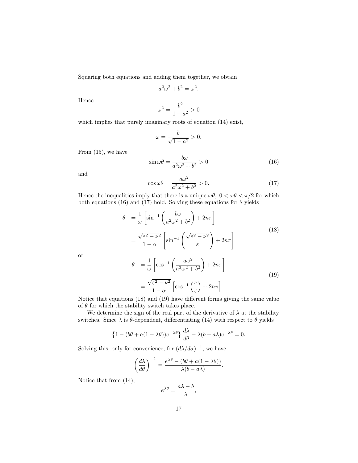Squaring both equations and adding them together, we obtain

$$
a^2\omega^2 + b^2 = \omega^2.
$$

Hence

$$
\omega^2 = \frac{b^2}{1 - a^2} > 0
$$

which implies that purely imaginary roots of equation  $(14)$  exist,

$$
\omega = \frac{b}{\sqrt{1 - a^2}} > 0.
$$

From (15), we have

$$
\sin \omega \theta = \frac{b\omega}{a^2 \omega^2 + b^2} > 0 \tag{16}
$$

and

$$
\cos \omega \theta = \frac{a\omega^2}{a^2 \omega^2 + b^2} > 0. \tag{17}
$$

Hence the inequalities imply that there is a unique  $\omega\theta$ ,  $0 < \omega\theta < \pi/2$  for which both equations (16) and (17) hold. Solving these equations for  $\theta$  yields

$$
\theta = \frac{1}{\omega} \left[ \sin^{-1} \left( \frac{b\omega}{a^2 \omega^2 + b^2} \right) + 2n\pi \right]
$$

$$
= \frac{\sqrt{\varepsilon^2 - \nu^2}}{1 - \alpha} \left[ \sin^{-1} \left( \frac{\sqrt{\varepsilon^2 - \nu^2}}{\varepsilon} \right) + 2n\pi \right]
$$

$$
\theta = \frac{1}{\omega} \left[ \cos^{-1} \left( \frac{a\omega^2}{a^2 \omega^2 + b^2} \right) + 2n\pi \right]
$$

$$
(18)
$$

or

$$
\theta = \frac{1}{\omega} \left[ \cos^{-1} \left( \frac{a\omega^2}{a^2 \omega^2 + b^2} \right) + 2n\pi \right]
$$

$$
= \frac{\sqrt{\varepsilon^2 - \nu^2}}{1 - \alpha} \left[ \cos^{-1} \left( \frac{\nu}{\varepsilon} \right) + 2n\pi \right]
$$
(19)

Notice that equations  $(18)$  and  $(19)$  have different forms giving the same value of  $\theta$  for which the stability switch takes place.

We determine the sign of the real part of the derivative of  $\lambda$  at the stability switches. Since  $\lambda$  is  $\theta$ -dependent, differentiating (14) with respect to  $\theta$  yields

$$
\left\{1 - (b\theta + a(1 - \lambda\theta))e^{-\lambda\theta}\right\}\frac{d\lambda}{d\theta} - \lambda(b - a\lambda)e^{-\lambda\theta} = 0.
$$

Solving this, only for convenience, for  $(d\lambda/d\sigma)^{-1}$ , we have

$$
\left(\frac{d\lambda}{d\theta}\right)^{-1} = \frac{e^{\lambda\theta} - (b\theta + a(1 - \lambda\theta))}{\lambda(b - a\lambda)}.
$$

Notice that from (14),

$$
e^{\lambda \theta} = \frac{a\lambda - b}{\lambda},
$$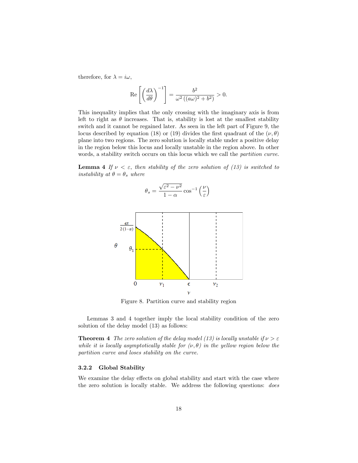therefore, for  $\lambda = i\omega$ ,

$$
\operatorname{Re}\left[\left(\frac{d\lambda}{d\theta}\right)^{-1}\right] = \frac{b^2}{\omega^2\left((a\omega)^2 + b^2\right)} > 0.
$$

This inequality implies that the only crossing with the imaginary axis is from left to right as  $\theta$  increases. That is, stability is lost at the smallest stability switch and it cannot be regained later. As seen in the left part of Figure 9, the locus described by equation (18) or (19) divides the first quadrant of the  $(\nu, \theta)$ plane into two regions. The zero solution is locally stable under a positive delay in the region below this locus and locally unstable in the region above. In other words, a stability switch occurs on this locus which we call the partition curve.

**Lemma 4** If  $\nu < \varepsilon$ , then stability of the zero solution of (13) is switched to instability at  $\theta = \theta_s$  where





Figure 8. Partition curve and stability region

Lemmas 3 and 4 together imply the local stability condition of the zero solution of the delay model (13) as follows:

**Theorem 4** The zero solution of the delay model (13) is locally unstable if  $\nu > \varepsilon$ while it is locally asymptotically stable for  $(\nu, \theta)$  in the yellow region below the partition curve and loses stability on the curve.

### 3.2.2 Global Stability

We examine the delay effects on global stability and start with the case where the zero solution is locally stable. We address the following questions: does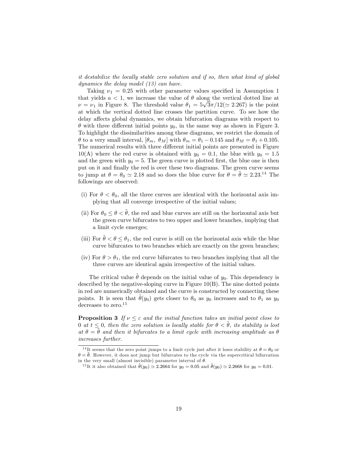it destabilize the locally stable zero solution and if so, then what kind of global dynamics the delay model (13) can have.

Taking  $\nu_1 = 0.25$  with other parameter values specified in Assumption 1 that yields  $a < 1$ , we increase the value of  $\theta$  along the vertical dotted line at  $\nu = \nu_1$  in Figure 8. The threshold value  $\theta_1 = 5\sqrt{3}\pi/12 (\simeq 2.267)$  is the point at which the vertical dotted line crosses the partition curve. To see how the delay affects global dynamics, we obtain bifurcation diagrams with respect to  $\theta$  with three different initial points  $y_0$ , in the same way as shown in Figure 3. To highlight the dissimilarities among these diagrams, we restrict the domain of  $\theta$  to a very small interval,  $[\theta_m, \theta_M]$  with  $\theta_m = \theta_1 - 0.145$  and  $\theta_M = \theta_1 + 0.105$ . The numerical results with three different initial points are presented in Figure  $10(A)$  where the red curve is obtained with  $y_0 = 0.1$ , the blue with  $y_0 = 1.5$ and the green with  $y_0 = 5$ . The green curve is plotted first, the blue one is then put on it and finally the red is over these two diagrams. The green curve seems to jump at  $\theta = \theta_0 \simeq 2.18$  and so does the blue curve for  $\theta = \tilde{\theta} \simeq 2.23^{14}$  The followings are observed:

- (i) For  $\theta < \theta_0$ , all the three curves are identical with the horizontal axis implying that all converge irrespective of the initial values;
- (ii) For  $\theta_0 \le \theta < \theta$ , the red and blue curves are still on the horizontal axis but the green curve bifurcates to two upper and lower branches, implying that a limit cycle emerges;
- (iii) For  $\tilde{\theta} < \theta < \theta_1$ , the red curve is still on the horizontal axis while the blue curve bifurcates to two branches which are exactly on the green branches;
- (iv) For  $\theta > \theta_1$ , the red curve bifurcates to two branches implying that all the three curves are identical again irrespective of the initial values.

The critical value  $\hat{\theta}$  depends on the initial value of  $y_0$ . This dependency is described by the negative-sloping curve in Figure  $10(B)$ . The nine dotted points in red are numerically obtained and the curve is constructed by connecting these points. It is seen that  $\hat{\theta}(y_0)$  gets closer to  $\theta_0$  as  $y_0$  increases and to  $\theta_1$  as  $y_0$ decreases to zero.<sup>15</sup>

**Proposition 3** If  $\nu \leq \varepsilon$  and the initial function takes an initial point close to 0 at  $t \leq 0$ , then the zero solution is locally stable for  $\theta < \tilde{\theta}$ , its stability is lost at  $\theta = \theta$  and then it bifurcates to a limit cycle with increasing amplitude as  $\theta$ increases further.

<sup>15</sup>It it also obtained that  $\tilde{\theta}(y_0) \simeq 2.2664$  for  $y_0 = 0.05$  and  $\tilde{\theta}(y_0) \simeq 2.2668$  for  $y_0 = 0.01$ .

<sup>&</sup>lt;sup>14</sup>It seems that the zero point jumps to a limit cycle just after it loses stability at  $\theta = \theta_0$  or  $\theta = \tilde{\theta}$ . However, it does not jump but bifurcates to the cycle via the supercritical bifurcation in the very small (almost invisible) parameter interval of  $\theta$ .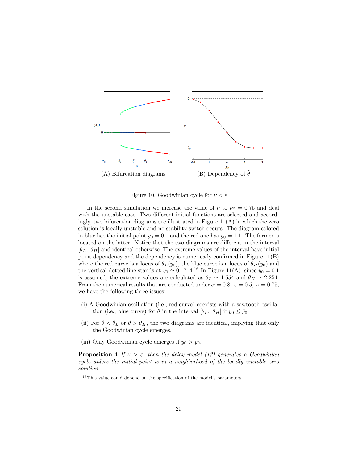

Figure 10. Goodwinian cycle for  $\nu < \varepsilon$ 

In the second simulation we increase the value of  $\nu$  to  $\nu_2 = 0.75$  and deal with the unstable case. Two different initial functions are selected and accordingly, two bifurcation diagrams are illustrated in Figure  $11(A)$  in which the zero solution is locally unstable and no stability switch occurs. The diagram colored in blue has the initial point  $y_0 = 0.1$  and the red one has  $y_0 = 1.1$ . The former is located on the latter. Notice that the two diagrams are different in the interval  $[\theta_L, \theta_H]$  and identical otherwise. The extreme values of the interval have initial point dependency and the dependency is numerically confirmed in Figure  $11(B)$ where the red curve is a locus of  $\theta_L(y_0)$ , the blue curve is a locus of  $\theta_H(y_0)$  and the vertical dotted line stands at  $\bar{y}_0 \simeq 0.1714^{16}$  In Figure 11(A), since  $y_0 = 0.1$ is assumed, the extreme values are calculated as  $\theta_L \simeq 1.554$  and  $\theta_H \simeq 2.254$ . From the numerical results that are conducted under  $\alpha = 0.8$ ,  $\varepsilon = 0.5$ ,  $\nu = 0.75$ , we have the following three issues:

- (i) A Goodwinian oscillation (i.e., red curve) coexists with a sawtooth oscillation (i.e., blue curve) for  $\theta$  in the interval  $[\theta_L, \theta_H]$  if  $y_0 \le \bar{y}_0$ ;
- (ii) For  $\theta < \theta_L$  or  $\theta > \theta_H$ , the two diagrams are identical, implying that only the Goodwinian cycle emerges.
- (iii) Only Goodwinian cycle emerges if  $y_0 > \bar{y}_0$ .

**Proposition 4** If  $\nu > \varepsilon$ , then the delay model (13) generates a Goodwinian cycle unless the initial point is in a neighborhood of the locally unstable zero solution.

 $16$  This value could depend on the specification of the model's parameters.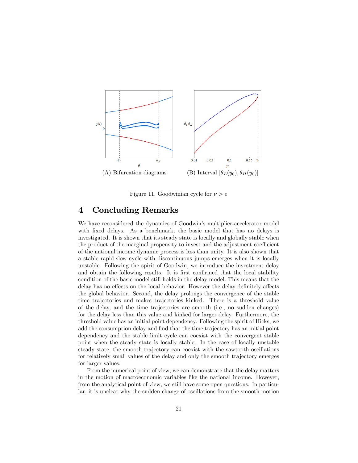

Figure 11. Goodwinian cycle for  $\nu > \varepsilon$ 

## 4 Concluding Remarks

We have reconsidered the dynamics of Goodwin's multiplier-accelerator model with fixed delays. As a benchmark, the basic model that has no delays is investigated. It is shown that its steady state is locally and globally stable when the product of the marginal propensity to invest and the adjustment coefficient of the national income dynamic process is less than unity. It is also shown that a stable rapid-slow cycle with discontinuous jumps emerges when it is locally unstable. Following the spirit of Goodwin, we introduce the investment delay and obtain the following results. It is first confirmed that the local stability condition of the basic model still holds in the delay model. This means that the delay has no effects on the local behavior. However the delay definitely affects the global behavior. Second, the delay prolongs the convergence of the stable time trajectories and makes trajectories kinked. There is a threshold value of the delay, and the time trajectories are smooth (i.e., no sudden changes) for the delay less than this value and kinked for larger delay. Furthermore, the threshold value has an initial point dependency. Following the spirit of Hicks, we add the consumption delay and find that the time trajectory has an initial point dependency and the stable limit cycle can coexist with the convergent stable point when the steady state is locally stable. In the case of locally unstable steady state, the smooth trajectory can coexist with the sawtooth oscillations for relatively small values of the delay and only the smooth trajectory emerges for larger values.

From the numerical point of view, we can demonstrate that the delay matters in the motion of macroeconomic variables like the national income. However, from the analytical point of view, we still have some open questions. In particular, it is unclear why the sudden change of oscillations from the smooth motion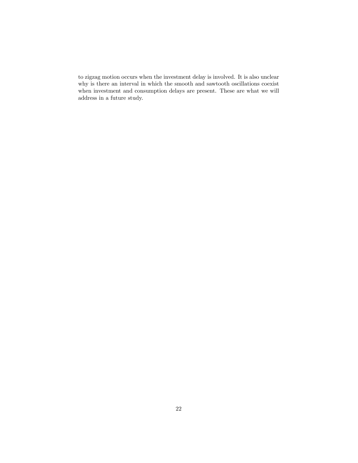to zigzag motion occurs when the investment delay is involved. It is also unclear why is there an interval in which the smooth and sawtooth oscillations coexist when investment and consumption delays are present. These are what we will address in a future study.